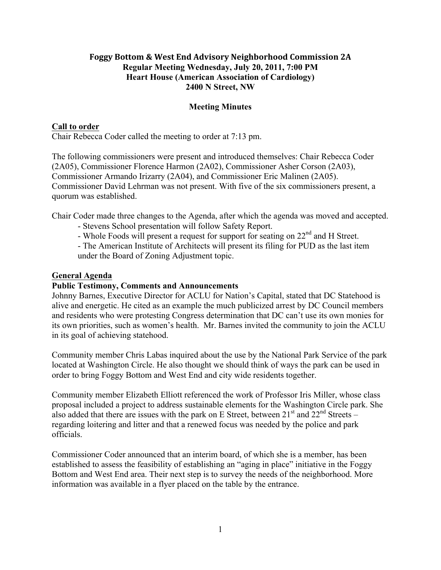### Foggy Bottom & West End Advisory Neighborhood Commission 2A **Regular Meeting Wednesday, July 20, 2011, 7:00 PM Heart House (American Association of Cardiology) 2400 N Street, NW**

### **Meeting Minutes**

### **Call to order**

Chair Rebecca Coder called the meeting to order at 7:13 pm.

The following commissioners were present and introduced themselves: Chair Rebecca Coder (2A05), Commissioner Florence Harmon (2A02), Commissioner Asher Corson (2A03), Commissioner Armando Irizarry (2A04), and Commissioner Eric Malinen (2A05). Commissioner David Lehrman was not present. With five of the six commissioners present, a quorum was established.

Chair Coder made three changes to the Agenda, after which the agenda was moved and accepted.

- Stevens School presentation will follow Safety Report.
- Whole Foods will present a request for support for seating on 22<sup>nd</sup> and H Street.

- The American Institute of Architects will present its filing for PUD as the last item under the Board of Zoning Adjustment topic.

### **General Agenda**

### **Public Testimony, Comments and Announcements**

Johnny Barnes, Executive Director for ACLU for Nation's Capital, stated that DC Statehood is alive and energetic. He cited as an example the much publicized arrest by DC Council members and residents who were protesting Congress determination that DC can't use its own monies for its own priorities, such as women's health. Mr. Barnes invited the community to join the ACLU in its goal of achieving statehood.

Community member Chris Labas inquired about the use by the National Park Service of the park located at Washington Circle. He also thought we should think of ways the park can be used in order to bring Foggy Bottom and West End and city wide residents together.

Community member Elizabeth Elliott referenced the work of Professor Iris Miller, whose class proposal included a project to address sustainable elements for the Washington Circle park. She also added that there are issues with the park on E Street, between  $21<sup>st</sup>$  and  $22<sup>nd</sup>$  Streets – regarding loitering and litter and that a renewed focus was needed by the police and park officials.

Commissioner Coder announced that an interim board, of which she is a member, has been established to assess the feasibility of establishing an "aging in place" initiative in the Foggy Bottom and West End area. Their next step is to survey the needs of the neighborhood. More information was available in a flyer placed on the table by the entrance.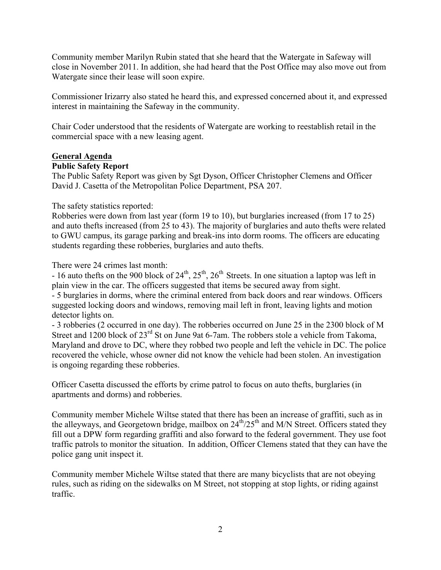Community member Marilyn Rubin stated that she heard that the Watergate in Safeway will close in November 2011. In addition, she had heard that the Post Office may also move out from Watergate since their lease will soon expire.

Commissioner Irizarry also stated he heard this, and expressed concerned about it, and expressed interest in maintaining the Safeway in the community.

Chair Coder understood that the residents of Watergate are working to reestablish retail in the commercial space with a new leasing agent.

### **General Agenda Public Safety Report**

The Public Safety Report was given by Sgt Dyson, Officer Christopher Clemens and Officer David J. Casetta of the Metropolitan Police Department, PSA 207.

The safety statistics reported:

Robberies were down from last year (form 19 to 10), but burglaries increased (from 17 to 25) and auto thefts increased (from 25 to 43). The majority of burglaries and auto thefts were related to GWU campus, its garage parking and break-ins into dorm rooms. The officers are educating students regarding these robberies, burglaries and auto thefts.

There were 24 crimes last month:

- 16 auto thefts on the 900 block of  $24<sup>th</sup>$ ,  $25<sup>th</sup>$ ,  $26<sup>th</sup>$  Streets. In one situation a laptop was left in plain view in the car. The officers suggested that items be secured away from sight. - 5 burglaries in dorms, where the criminal entered from back doors and rear windows. Officers suggested locking doors and windows, removing mail left in front, leaving lights and motion detector lights on.

- 3 robberies (2 occurred in one day). The robberies occurred on June 25 in the 2300 block of M Street and 1200 block of 23<sup>rd</sup> St on June 9at 6-7am. The robbers stole a vehicle from Takoma, Maryland and drove to DC, where they robbed two people and left the vehicle in DC. The police recovered the vehicle, whose owner did not know the vehicle had been stolen. An investigation is ongoing regarding these robberies.

Officer Casetta discussed the efforts by crime patrol to focus on auto thefts, burglaries (in apartments and dorms) and robberies.

Community member Michele Wiltse stated that there has been an increase of graffiti, such as in the alleyways, and Georgetown bridge, mailbox on  $24<sup>th</sup>/25<sup>th</sup>$  and M/N Street. Officers stated they fill out a DPW form regarding graffiti and also forward to the federal government. They use foot traffic patrols to monitor the situation. In addition, Officer Clemens stated that they can have the police gang unit inspect it.

Community member Michele Wiltse stated that there are many bicyclists that are not obeying rules, such as riding on the sidewalks on M Street, not stopping at stop lights, or riding against traffic.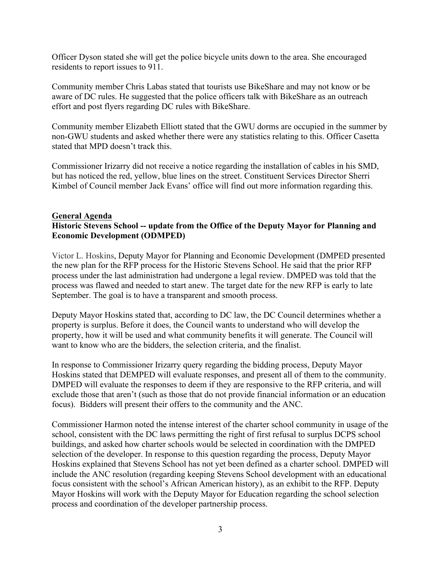Officer Dyson stated she will get the police bicycle units down to the area. She encouraged residents to report issues to 911.

Community member Chris Labas stated that tourists use BikeShare and may not know or be aware of DC rules. He suggested that the police officers talk with BikeShare as an outreach effort and post flyers regarding DC rules with BikeShare.

Community member Elizabeth Elliott stated that the GWU dorms are occupied in the summer by non-GWU students and asked whether there were any statistics relating to this. Officer Casetta stated that MPD doesn't track this.

Commissioner Irizarry did not receive a notice regarding the installation of cables in his SMD, but has noticed the red, yellow, blue lines on the street. Constituent Services Director Sherri Kimbel of Council member Jack Evans' office will find out more information regarding this.

### **General Agenda Historic Stevens School -- update from the Office of the Deputy Mayor for Planning and Economic Development (ODMPED)**

Victor L. Hoskins, Deputy Mayor for Planning and Economic Development (DMPED presented the new plan for the RFP process for the Historic Stevens School. He said that the prior RFP process under the last administration had undergone a legal review. DMPED was told that the process was flawed and needed to start anew. The target date for the new RFP is early to late September. The goal is to have a transparent and smooth process.

Deputy Mayor Hoskins stated that, according to DC law, the DC Council determines whether a property is surplus. Before it does, the Council wants to understand who will develop the property, how it will be used and what community benefits it will generate. The Council will want to know who are the bidders, the selection criteria, and the finalist.

In response to Commissioner Irizarry query regarding the bidding process, Deputy Mayor Hoskins stated that DEMPED will evaluate responses, and present all of them to the community. DMPED will evaluate the responses to deem if they are responsive to the RFP criteria, and will exclude those that aren't (such as those that do not provide financial information or an education focus). Bidders will present their offers to the community and the ANC.

Commissioner Harmon noted the intense interest of the charter school community in usage of the school, consistent with the DC laws permitting the right of first refusal to surplus DCPS school buildings, and asked how charter schools would be selected in coordination with the DMPED selection of the developer. In response to this question regarding the process, Deputy Mayor Hoskins explained that Stevens School has not yet been defined as a charter school. DMPED will include the ANC resolution (regarding keeping Stevens School development with an educational focus consistent with the school's African American history), as an exhibit to the RFP. Deputy Mayor Hoskins will work with the Deputy Mayor for Education regarding the school selection process and coordination of the developer partnership process.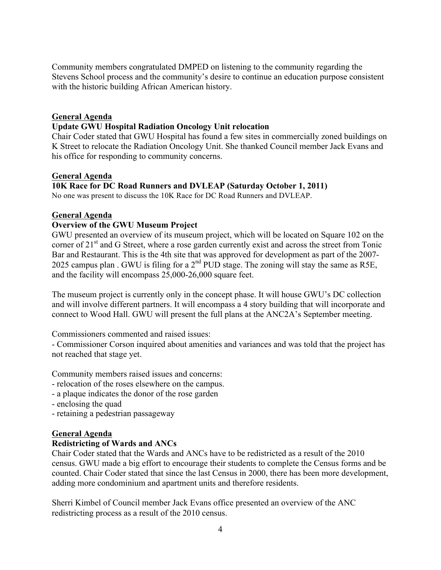Community members congratulated DMPED on listening to the community regarding the Stevens School process and the community's desire to continue an education purpose consistent with the historic building African American history.

### **General Agenda**

### **Update GWU Hospital Radiation Oncology Unit relocation**

Chair Coder stated that GWU Hospital has found a few sites in commercially zoned buildings on K Street to relocate the Radiation Oncology Unit. She thanked Council member Jack Evans and his office for responding to community concerns.

### **General Agenda**

### **10K Race for DC Road Runners and DVLEAP (Saturday October 1, 2011)**

No one was present to discuss the 10K Race for DC Road Runners and DVLEAP.

### **General Agenda**

### **Overview of the GWU Museum Project**

GWU presented an overview of its museum project, which will be located on Square 102 on the corner of  $21<sup>st</sup>$  and G Street, where a rose garden currently exist and across the street from Tonic Bar and Restaurant. This is the 4th site that was approved for development as part of the 2007- 2025 campus plan . GWU is filing for a  $2<sup>nd</sup>$  PUD stage. The zoning will stay the same as R5E, and the facility will encompass 25,000-26,000 square feet.

The museum project is currently only in the concept phase. It will house GWU's DC collection and will involve different partners. It will encompass a 4 story building that will incorporate and connect to Wood Hall. GWU will present the full plans at the ANC2A's September meeting.

Commissioners commented and raised issues:

- Commissioner Corson inquired about amenities and variances and was told that the project has not reached that stage yet.

Community members raised issues and concerns:

- relocation of the roses elsewhere on the campus.
- a plaque indicates the donor of the rose garden
- enclosing the quad
- retaining a pedestrian passageway

### **General Agenda**

### **Redistricting of Wards and ANCs**

Chair Coder stated that the Wards and ANCs have to be redistricted as a result of the 2010 census. GWU made a big effort to encourage their students to complete the Census forms and be counted. Chair Coder stated that since the last Census in 2000, there has been more development, adding more condominium and apartment units and therefore residents.

Sherri Kimbel of Council member Jack Evans office presented an overview of the ANC redistricting process as a result of the 2010 census.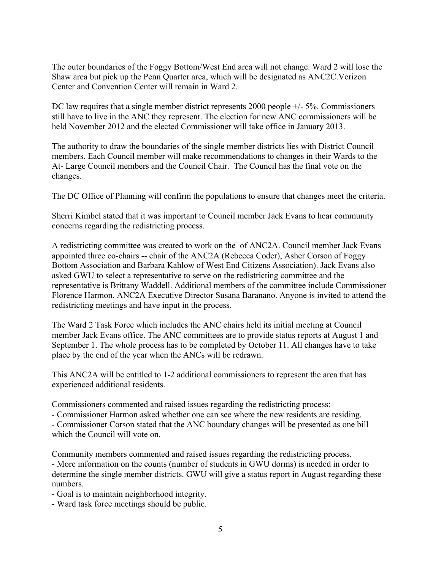The outer boundaries of the Foggy Bottom/West End area will not change. Ward 2 will lose the Shaw area but pick up the Penn Quarter area, which will be designated as ANC2C.Verizon Center and Convention Center will remain in Ward 2.

DC law requires that a single member district represents 2000 people  $+/-5\%$ . Commissioners still have to live in the ANC they represent. The election for new ANC commissioners will be held November 2012 and the elected Commissioner will take office in January 2013.

The authority to draw the boundaries of the single member districts lies with District Council members. Each Council member will make recommendations to changes in their Wards to the At- Large Council members and the Council Chair. The Council has the final vote on the changes.

The DC Office of Planning will confirm the populations to ensure that changes meet the criteria.

Sherri Kimbel stated that it was important to Council member Jack Evans to hear community concerns regarding the redistricting process.

A redistricting committee was created to work on the of ANC2A. Council member Jack Evans appointed three co-chairs -- chair of the ANC2A (Rebecca Coder), Asher Corson of Foggy Bottom Association and Barbara Kahlow of West End Citizens Association). Jack Evans also asked GWU to select a representative to serve on the redistricting committee and the representative is Brittany Waddell. Additional members of the committee include Commissioner Florence Harmon, ANC2A Executive Director Susana Baranano. Anyone is invited to attend the redistricting meetings and have input in the process.

The Ward 2 Task Force which includes the ANC chairs held its initial meeting at Council member Jack Evans office. The ANC committees are to provide status reports at August 1 and September 1. The whole process has to be completed by October 11. All changes have to take place by the end of the year when the ANCs will be redrawn.

This ANC2A will be entitled to 1-2 additional commissioners to represent the area that has experienced additional residents.

Commissioners commented and raised issues regarding the redistricting process:

- Commissioner Harmon asked whether one can see where the new residents are residing.

- Commissioner Corson stated that the ANC boundary changes will be presented as one bill which the Council will vote on.

Community members commented and raised issues regarding the redistricting process. - More information on the counts (number of students in GWU dorms) is needed in order to determine the single member districts. GWU will give a status report in August regarding these numbers.

- Goal is to maintain neighborhood integrity.

- Ward task force meetings should be public.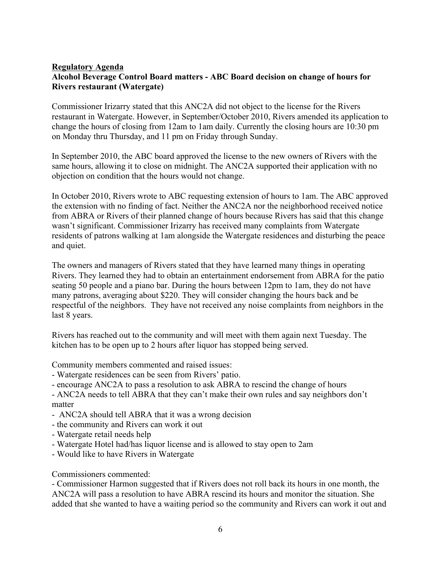### **Regulatory Agenda Alcohol Beverage Control Board matters - ABC Board decision on change of hours for Rivers restaurant (Watergate)**

Commissioner Irizarry stated that this ANC2A did not object to the license for the Rivers restaurant in Watergate. However, in September/October 2010, Rivers amended its application to change the hours of closing from 12am to 1am daily. Currently the closing hours are 10:30 pm on Monday thru Thursday, and 11 pm on Friday through Sunday.

In September 2010, the ABC board approved the license to the new owners of Rivers with the same hours, allowing it to close on midnight. The ANC2A supported their application with no objection on condition that the hours would not change.

In October 2010, Rivers wrote to ABC requesting extension of hours to 1am. The ABC approved the extension with no finding of fact. Neither the ANC2A nor the neighborhood received notice from ABRA or Rivers of their planned change of hours because Rivers has said that this change wasn't significant. Commissioner Irizarry has received many complaints from Watergate residents of patrons walking at 1am alongside the Watergate residences and disturbing the peace and quiet.

The owners and managers of Rivers stated that they have learned many things in operating Rivers. They learned they had to obtain an entertainment endorsement from ABRA for the patio seating 50 people and a piano bar. During the hours between 12pm to 1am, they do not have many patrons, averaging about \$220. They will consider changing the hours back and be respectful of the neighbors. They have not received any noise complaints from neighbors in the last 8 years.

Rivers has reached out to the community and will meet with them again next Tuesday. The kitchen has to be open up to 2 hours after liquor has stopped being served.

Community members commented and raised issues:

- Watergate residences can be seen from Rivers' patio.
- encourage ANC2A to pass a resolution to ask ABRA to rescind the change of hours

- ANC2A needs to tell ABRA that they can't make their own rules and say neighbors don't matter

- ANC2A should tell ABRA that it was a wrong decision
- the community and Rivers can work it out
- Watergate retail needs help
- Watergate Hotel had/has liquor license and is allowed to stay open to 2am
- Would like to have Rivers in Watergate

Commissioners commented:

- Commissioner Harmon suggested that if Rivers does not roll back its hours in one month, the ANC2A will pass a resolution to have ABRA rescind its hours and monitor the situation. She added that she wanted to have a waiting period so the community and Rivers can work it out and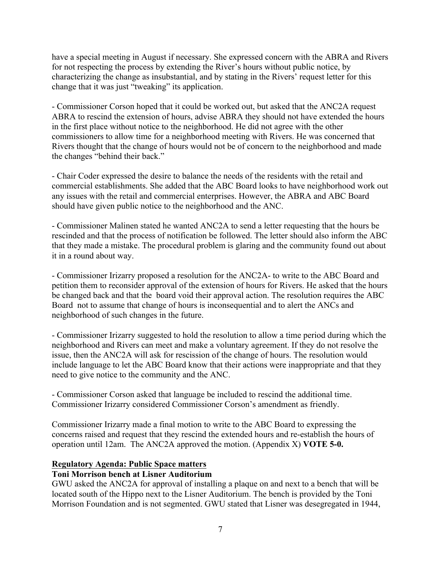have a special meeting in August if necessary. She expressed concern with the ABRA and Rivers for not respecting the process by extending the River's hours without public notice, by characterizing the change as insubstantial, and by stating in the Rivers' request letter for this change that it was just "tweaking" its application.

- Commissioner Corson hoped that it could be worked out, but asked that the ANC2A request ABRA to rescind the extension of hours, advise ABRA they should not have extended the hours in the first place without notice to the neighborhood. He did not agree with the other commissioners to allow time for a neighborhood meeting with Rivers. He was concerned that Rivers thought that the change of hours would not be of concern to the neighborhood and made the changes "behind their back."

- Chair Coder expressed the desire to balance the needs of the residents with the retail and commercial establishments. She added that the ABC Board looks to have neighborhood work out any issues with the retail and commercial enterprises. However, the ABRA and ABC Board should have given public notice to the neighborhood and the ANC.

- Commissioner Malinen stated he wanted ANC2A to send a letter requesting that the hours be rescinded and that the process of notification be followed. The letter should also inform the ABC that they made a mistake. The procedural problem is glaring and the community found out about it in a round about way.

- Commissioner Irizarry proposed a resolution for the ANC2A- to write to the ABC Board and petition them to reconsider approval of the extension of hours for Rivers. He asked that the hours be changed back and that the board void their approval action. The resolution requires the ABC Board not to assume that change of hours is inconsequential and to alert the ANCs and neighborhood of such changes in the future.

- Commissioner Irizarry suggested to hold the resolution to allow a time period during which the neighborhood and Rivers can meet and make a voluntary agreement. If they do not resolve the issue, then the ANC2A will ask for rescission of the change of hours. The resolution would include language to let the ABC Board know that their actions were inappropriate and that they need to give notice to the community and the ANC.

- Commissioner Corson asked that language be included to rescind the additional time. Commissioner Irizarry considered Commissioner Corson's amendment as friendly.

Commissioner Irizarry made a final motion to write to the ABC Board to expressing the concerns raised and request that they rescind the extended hours and re-establish the hours of operation until 12am. The ANC2A approved the motion. (Appendix X) **VOTE 5-0.**

## **Regulatory Agenda: Public Space matters**

### **Toni Morrison bench at Lisner Auditorium**

GWU asked the ANC2A for approval of installing a plaque on and next to a bench that will be located south of the Hippo next to the Lisner Auditorium. The bench is provided by the Toni Morrison Foundation and is not segmented. GWU stated that Lisner was desegregated in 1944,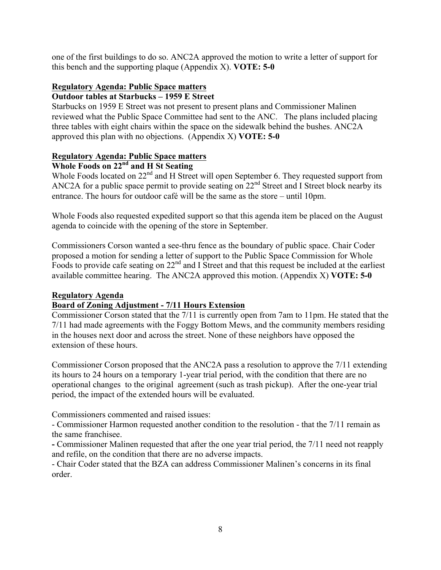one of the first buildings to do so. ANC2A approved the motion to write a letter of support for this bench and the supporting plaque (Appendix X). **VOTE: 5-0**

# **Regulatory Agenda: Public Space matters**

## **Outdoor tables at Starbucks – 1959 E Street**

Starbucks on 1959 E Street was not present to present plans and Commissioner Malinen reviewed what the Public Space Committee had sent to the ANC. The plans included placing three tables with eight chairs within the space on the sidewalk behind the bushes. ANC2A approved this plan with no objections. (Appendix X) **VOTE: 5-0**

## **Regulatory Agenda: Public Space matters**

## **Whole Foods on 22nd and H St Seating**

Whole Foods located on 22<sup>nd</sup> and H Street will open September 6. They requested support from ANC2A for a public space permit to provide seating on 22<sup>nd</sup> Street and I Street block nearby its entrance. The hours for outdoor café will be the same as the store – until 10pm.

Whole Foods also requested expedited support so that this agenda item be placed on the August agenda to coincide with the opening of the store in September.

Commissioners Corson wanted a see-thru fence as the boundary of public space. Chair Coder proposed a motion for sending a letter of support to the Public Space Commission for Whole Foods to provide cafe seating on 22nd and I Street and that this request be included at the earliest available committee hearing. The ANC2A approved this motion. (Appendix X) **VOTE: 5-0**

## **Regulatory Agenda**

## **Board of Zoning Adjustment - 7/11 Hours Extension**

Commissioner Corson stated that the 7/11 is currently open from 7am to 11pm. He stated that the 7/11 had made agreements with the Foggy Bottom Mews, and the community members residing in the houses next door and across the street. None of these neighbors have opposed the extension of these hours.

Commissioner Corson proposed that the ANC2A pass a resolution to approve the 7/11 extending its hours to 24 hours on a temporary 1-year trial period, with the condition that there are no operational changes to the original agreement (such as trash pickup). After the one-year trial period, the impact of the extended hours will be evaluated.

Commissioners commented and raised issues:

- Commissioner Harmon requested another condition to the resolution - that the 7/11 remain as the same franchisee.

**-** Commissioner Malinen requested that after the one year trial period, the 7/11 need not reapply and refile, on the condition that there are no adverse impacts.

- Chair Coder stated that the BZA can address Commissioner Malinen's concerns in its final order.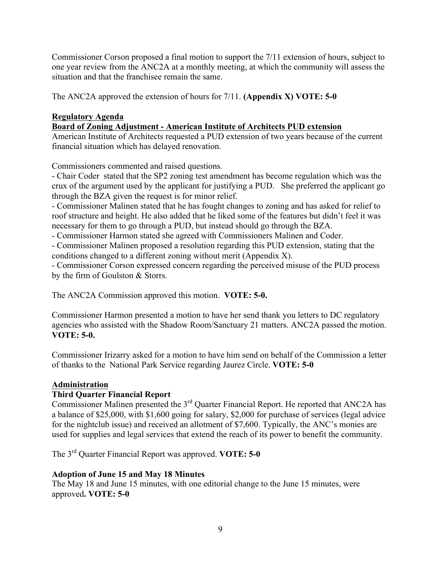Commissioner Corson proposed a final motion to support the 7/11 extension of hours, subject to one year review from the ANC2A at a monthly meeting, at which the community will assess the situation and that the franchisee remain the same.

The ANC2A approved the extension of hours for 7/11. **(Appendix X) VOTE: 5-0**

## **Regulatory Agenda**

**Board of Zoning Adjustment - American Institute of Architects PUD extension**

American Institute of Architects requested a PUD extension of two years because of the current financial situation which has delayed renovation.

Commissioners commented and raised questions.

- Chair Coder stated that the SP2 zoning test amendment has become regulation which was the crux of the argument used by the applicant for justifying a PUD. She preferred the applicant go through the BZA given the request is for minor relief.

- Commissioner Malinen stated that he has fought changes to zoning and has asked for relief to roof structure and height. He also added that he liked some of the features but didn't feel it was necessary for them to go through a PUD, but instead should go through the BZA.

- Commissioner Harmon stated she agreed with Commissioners Malinen and Coder.

- Commissioner Malinen proposed a resolution regarding this PUD extension, stating that the conditions changed to a different zoning without merit (Appendix X).

- Commissioner Corson expressed concern regarding the perceived misuse of the PUD process by the firm of Goulston & Storrs.

The ANC2A Commission approved this motion. **VOTE: 5-0.**

Commissioner Harmon presented a motion to have her send thank you letters to DC regulatory agencies who assisted with the Shadow Room/Sanctuary 21 matters. ANC2A passed the motion. **VOTE: 5-0.**

Commissioner Irizarry asked for a motion to have him send on behalf of the Commission a letter of thanks to the National Park Service regarding Jaurez Circle. **VOTE: 5-0**

## **Administration**

## **Third Quarter Financial Report**

Commissioner Malinen presented the 3rd Quarter Financial Report. He reported that ANC2A has a balance of \$25,000, with \$1,600 going for salary, \$2,000 for purchase of services (legal advice for the nightclub issue) and received an allotment of \$7,600. Typically, the ANC's monies are used for supplies and legal services that extend the reach of its power to benefit the community.

The 3rd Quarter Financial Report was approved. **VOTE: 5-0** 

## **Adoption of June 15 and May 18 Minutes**

The May 18 and June 15 minutes, with one editorial change to the June 15 minutes, were approved**. VOTE: 5-0**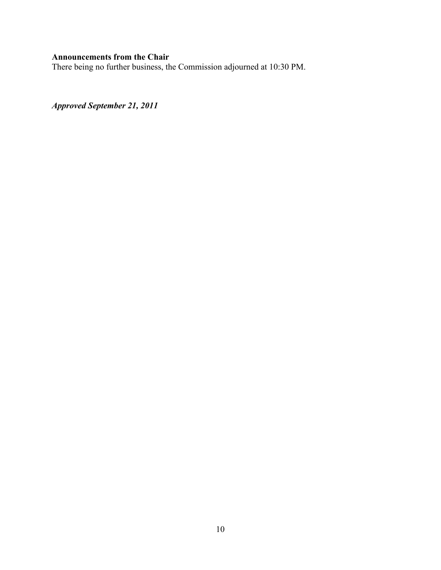## **Announcements from the Chair**

There being no further business, the Commission adjourned at 10:30 PM.

*Approved September 21, 2011*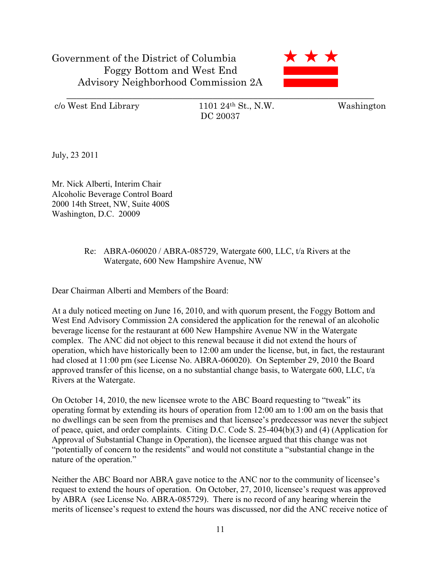

c/o West End Library 1101 24th St., N.W. Washington

DC 20037

July, 23 2011

Mr. Nick Alberti, Interim Chair Alcoholic Beverage Control Board 2000 14th Street, NW, Suite 400S Washington, D.C. 20009

## Re: ABRA-060020 / ABRA-085729, Watergate 600, LLC, t/a Rivers at the Watergate, 600 New Hampshire Avenue, NW

Dear Chairman Alberti and Members of the Board:

At a duly noticed meeting on June 16, 2010, and with quorum present, the Foggy Bottom and West End Advisory Commission 2A considered the application for the renewal of an alcoholic beverage license for the restaurant at 600 New Hampshire Avenue NW in the Watergate complex. The ANC did not object to this renewal because it did not extend the hours of operation, which have historically been to 12:00 am under the license, but, in fact, the restaurant had closed at 11:00 pm (see License No. ABRA-060020). On September 29, 2010 the Board approved transfer of this license, on a no substantial change basis, to Watergate 600, LLC, t/a Rivers at the Watergate.

On October 14, 2010, the new licensee wrote to the ABC Board requesting to "tweak" its operating format by extending its hours of operation from 12:00 am to 1:00 am on the basis that no dwellings can be seen from the premises and that licensee's predecessor was never the subject of peace, quiet, and order complaints. Citing D.C. Code S. 25-404(b)(3) and (4) (Application for Approval of Substantial Change in Operation), the licensee argued that this change was not "potentially of concern to the residents" and would not constitute a "substantial change in the nature of the operation."

Neither the ABC Board nor ABRA gave notice to the ANC nor to the community of licensee's request to extend the hours of operation. On October, 27, 2010, licensee's request was approved by ABRA (see License No. ABRA-085729). There is no record of any hearing wherein the merits of licensee's request to extend the hours was discussed, nor did the ANC receive notice of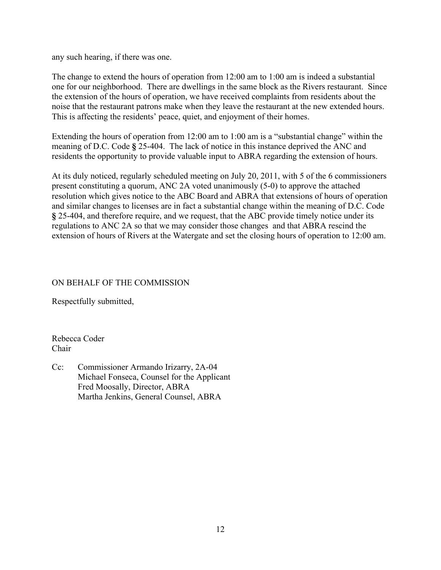any such hearing, if there was one.

The change to extend the hours of operation from 12:00 am to 1:00 am is indeed a substantial one for our neighborhood. There are dwellings in the same block as the Rivers restaurant. Since the extension of the hours of operation, we have received complaints from residents about the noise that the restaurant patrons make when they leave the restaurant at the new extended hours. This is affecting the residents' peace, quiet, and enjoyment of their homes.

Extending the hours of operation from 12:00 am to 1:00 am is a "substantial change" within the meaning of D.C. Code **§** 25-404. The lack of notice in this instance deprived the ANC and residents the opportunity to provide valuable input to ABRA regarding the extension of hours.

At its duly noticed, regularly scheduled meeting on July 20, 2011, with 5 of the 6 commissioners present constituting a quorum, ANC 2A voted unanimously (5-0) to approve the attached resolution which gives notice to the ABC Board and ABRA that extensions of hours of operation and similar changes to licenses are in fact a substantial change within the meaning of D.C. Code **§** 25-404, and therefore require, and we request, that the ABC provide timely notice under its regulations to ANC 2A so that we may consider those changes and that ABRA rescind the extension of hours of Rivers at the Watergate and set the closing hours of operation to 12:00 am.

## ON BEHALF OF THE COMMISSION

Respectfully submitted,

Rebecca Coder Chair

Cc: Commissioner Armando Irizarry, 2A-04 Michael Fonseca, Counsel for the Applicant Fred Moosally, Director, ABRA Martha Jenkins, General Counsel, ABRA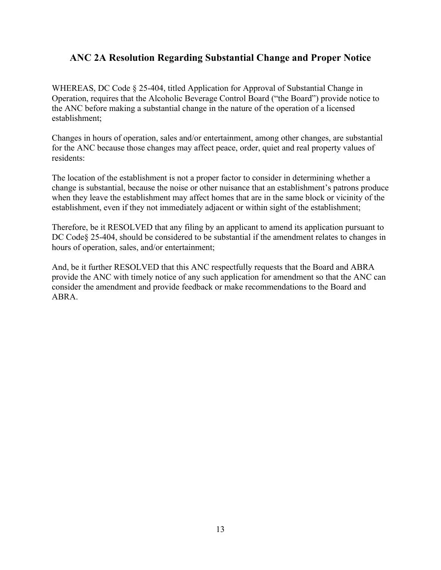## **ANC 2A Resolution Regarding Substantial Change and Proper Notice**

WHEREAS, DC Code § 25-404, titled Application for Approval of Substantial Change in Operation, requires that the Alcoholic Beverage Control Board ("the Board") provide notice to the ANC before making a substantial change in the nature of the operation of a licensed establishment;

Changes in hours of operation, sales and/or entertainment, among other changes, are substantial for the ANC because those changes may affect peace, order, quiet and real property values of residents:

The location of the establishment is not a proper factor to consider in determining whether a change is substantial, because the noise or other nuisance that an establishment's patrons produce when they leave the establishment may affect homes that are in the same block or vicinity of the establishment, even if they not immediately adjacent or within sight of the establishment;

Therefore, be it RESOLVED that any filing by an applicant to amend its application pursuant to DC Code§ 25-404, should be considered to be substantial if the amendment relates to changes in hours of operation, sales, and/or entertainment;

And, be it further RESOLVED that this ANC respectfully requests that the Board and ABRA provide the ANC with timely notice of any such application for amendment so that the ANC can consider the amendment and provide feedback or make recommendations to the Board and ABRA.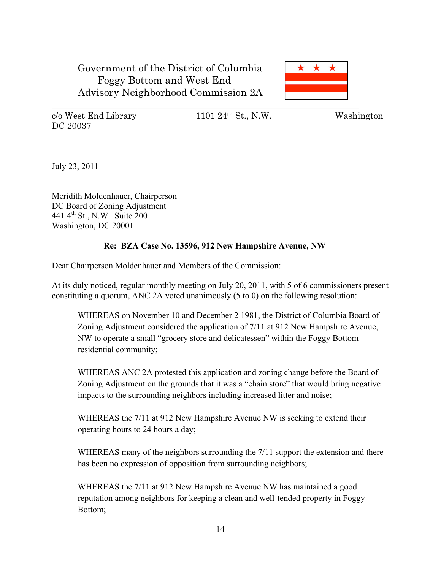

c/o West End Library 1101 24th St., N.W. Washington DC 20037

July 23, 2011

Meridith Moldenhauer, Chairperson DC Board of Zoning Adjustment 441 4th St., N.W. Suite 200 Washington, DC 20001

## **Re: BZA Case No. 13596, 912 New Hampshire Avenue, NW**

Dear Chairperson Moldenhauer and Members of the Commission:

At its duly noticed, regular monthly meeting on July 20, 2011, with 5 of 6 commissioners present constituting a quorum, ANC 2A voted unanimously (5 to 0) on the following resolution:

WHEREAS on November 10 and December 2 1981, the District of Columbia Board of Zoning Adjustment considered the application of 7/11 at 912 New Hampshire Avenue, NW to operate a small "grocery store and delicatessen" within the Foggy Bottom residential community;

WHEREAS ANC 2A protested this application and zoning change before the Board of Zoning Adjustment on the grounds that it was a "chain store" that would bring negative impacts to the surrounding neighbors including increased litter and noise;

WHEREAS the 7/11 at 912 New Hampshire Avenue NW is seeking to extend their operating hours to 24 hours a day;

WHEREAS many of the neighbors surrounding the 7/11 support the extension and there has been no expression of opposition from surrounding neighbors;

WHEREAS the 7/11 at 912 New Hampshire Avenue NW has maintained a good reputation among neighbors for keeping a clean and well-tended property in Foggy Bottom;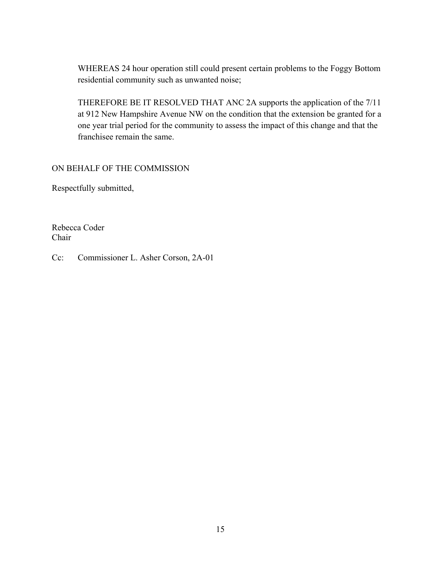WHEREAS 24 hour operation still could present certain problems to the Foggy Bottom residential community such as unwanted noise;

THEREFORE BE IT RESOLVED THAT ANC 2A supports the application of the 7/11 at 912 New Hampshire Avenue NW on the condition that the extension be granted for a one year trial period for the community to assess the impact of this change and that the franchisee remain the same.

ON BEHALF OF THE COMMISSION

Respectfully submitted,

Rebecca Coder Chair

Cc: Commissioner L. Asher Corson, 2A-01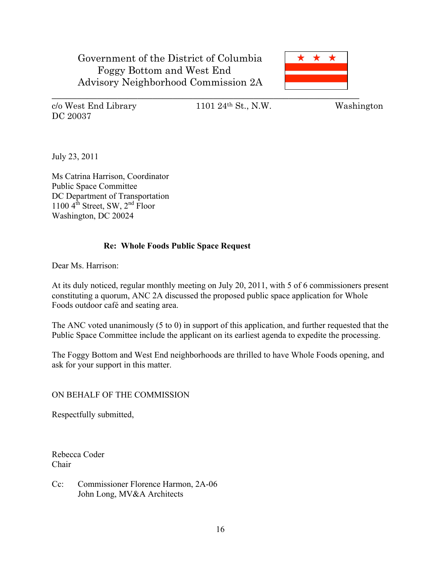

DC 20037

c/o West End Library 1101 24th St., N.W. Washington

July 23, 2011

Ms Catrina Harrison, Coordinator Public Space Committee DC Department of Transportation  $1100 \, 4^{th}$  Street, SW,  $2^{nd}$  Floor Washington, DC 20024

### **Re: Whole Foods Public Space Request**

Dear Ms. Harrison:

At its duly noticed, regular monthly meeting on July 20, 2011, with 5 of 6 commissioners present constituting a quorum, ANC 2A discussed the proposed public space application for Whole Foods outdoor café and seating area.

The ANC voted unanimously (5 to 0) in support of this application, and further requested that the Public Space Committee include the applicant on its earliest agenda to expedite the processing.

The Foggy Bottom and West End neighborhoods are thrilled to have Whole Foods opening, and ask for your support in this matter.

### ON BEHALF OF THE COMMISSION

Respectfully submitted,

Rebecca Coder Chair

Cc: Commissioner Florence Harmon, 2A-06 John Long, MV&A Architects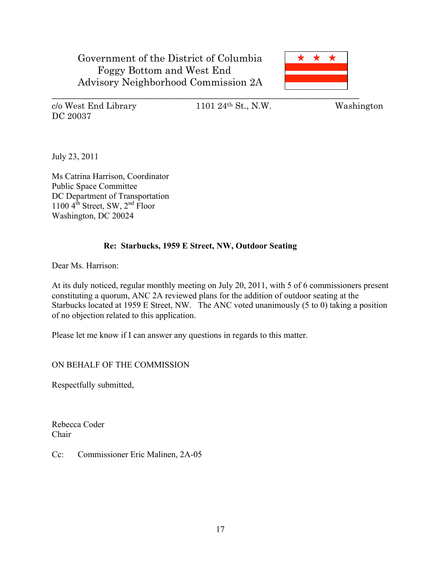

DC 20037

c/o West End Library 1101 24th St., N.W. Washington

July 23, 2011

Ms Catrina Harrison, Coordinator Public Space Committee DC Department of Transportation 1100  $4^{th}$  Street, SW,  $2^{nd}$  Floor Washington, DC 20024

## **Re: Starbucks, 1959 E Street, NW, Outdoor Seating**

Dear Ms. Harrison:

At its duly noticed, regular monthly meeting on July 20, 2011, with 5 of 6 commissioners present constituting a quorum, ANC 2A reviewed plans for the addition of outdoor seating at the Starbucks located at 1959 E Street, NW. The ANC voted unanimously (5 to 0) taking a position of no objection related to this application.

Please let me know if I can answer any questions in regards to this matter.

ON BEHALF OF THE COMMISSION

Respectfully submitted,

Rebecca Coder Chair

Cc: Commissioner Eric Malinen, 2A-05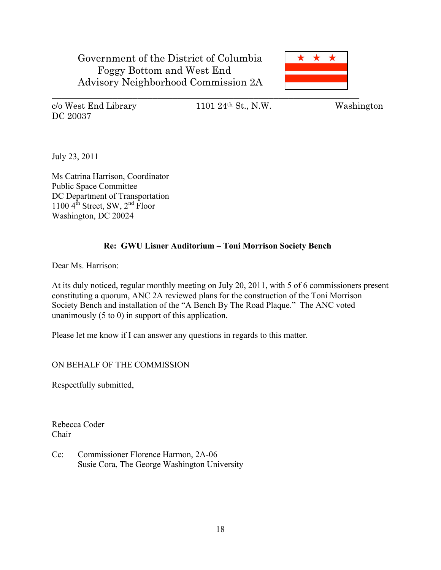

DC 20037

c/o West End Library 1101 24th St., N.W. Washington

July 23, 2011

Ms Catrina Harrison, Coordinator Public Space Committee DC Department of Transportation 1100  $4^{th}$  Street, SW,  $2^{nd}$  Floor Washington, DC 20024

## **Re: GWU Lisner Auditorium – Toni Morrison Society Bench**

Dear Ms. Harrison:

At its duly noticed, regular monthly meeting on July 20, 2011, with 5 of 6 commissioners present constituting a quorum, ANC 2A reviewed plans for the construction of the Toni Morrison Society Bench and installation of the "A Bench By The Road Plaque." The ANC voted unanimously (5 to 0) in support of this application.

Please let me know if I can answer any questions in regards to this matter.

ON BEHALF OF THE COMMISSION

Respectfully submitted,

Rebecca Coder Chair

Cc: Commissioner Florence Harmon, 2A-06 Susie Cora, The George Washington University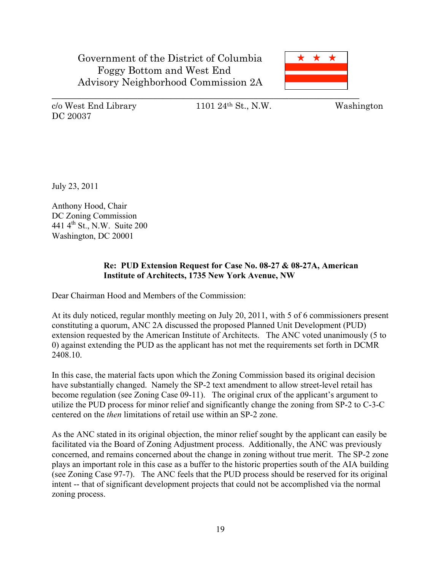

DC 20037

c/o West End Library 1101 24th St., N.W. Washington

July 23, 2011

Anthony Hood, Chair DC Zoning Commission 441 4th St., N.W. Suite 200 Washington, DC 20001

## **Re: PUD Extension Request for Case No. 08-27 & 08-27A, American Institute of Architects, 1735 New York Avenue, NW**

Dear Chairman Hood and Members of the Commission:

At its duly noticed, regular monthly meeting on July 20, 2011, with 5 of 6 commissioners present constituting a quorum, ANC 2A discussed the proposed Planned Unit Development (PUD) extension requested by the American Institute of Architects. The ANC voted unanimously (5 to 0) against extending the PUD as the applicant has not met the requirements set forth in DCMR 2408.10.

In this case, the material facts upon which the Zoning Commission based its original decision have substantially changed. Namely the SP-2 text amendment to allow street-level retail has become regulation (see Zoning Case 09-11). The original crux of the applicant's argument to utilize the PUD process for minor relief and significantly change the zoning from SP-2 to C-3-C centered on the *then* limitations of retail use within an SP-2 zone.

As the ANC stated in its original objection, the minor relief sought by the applicant can easily be facilitated via the Board of Zoning Adjustment process. Additionally, the ANC was previously concerned, and remains concerned about the change in zoning without true merit. The SP-2 zone plays an important role in this case as a buffer to the historic properties south of the AIA building (see Zoning Case 97-7). The ANC feels that the PUD process should be reserved for its original intent -- that of significant development projects that could not be accomplished via the normal zoning process.